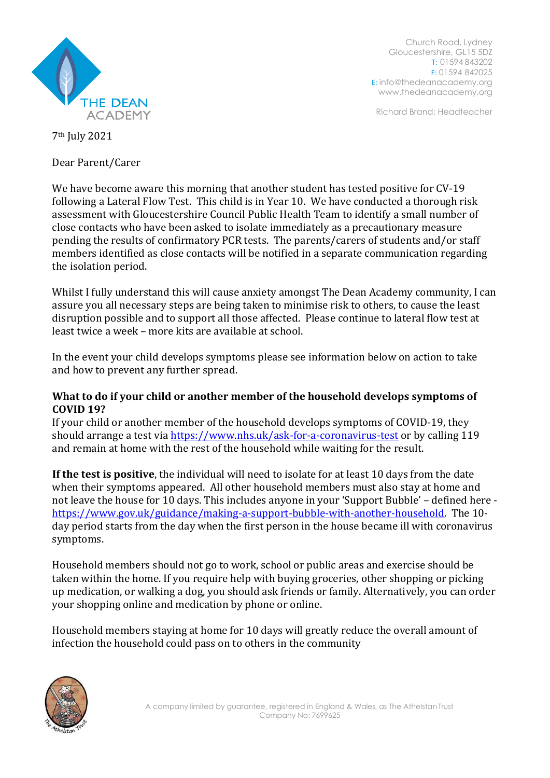

Church Road, Lydney Gloucestershire, GL15 5DZ T: 01594 843202 F: 01594 842025 E: [info@thedeanacademy.org](mailto:info@thedeanacademy.org) [www.thedeanacademy.org](http://www.thedeanacademy.org/)

Richard Brand: Headteacher

7th July 2021

Dear Parent/Carer

We have become aware this morning that another student has tested positive for CV-19 following a Lateral Flow Test. This child is in Year 10. We have conducted a thorough risk assessment with Gloucestershire Council Public Health Team to identify a small number of close contacts who have been asked to isolate immediately as a precautionary measure pending the results of confirmatory PCR tests. The parents/carers of students and/or staff members identified as close contacts will be notified in a separate communication regarding the isolation period.

Whilst I fully understand this will cause anxiety amongst The Dean Academy community, I can assure you all necessary steps are being taken to minimise risk to others, to cause the least disruption possible and to support all those affected. Please continue to lateral flow test at least twice a week – more kits are available at school.

In the event your child develops symptoms please see information below on action to take and how to prevent any further spread.

### **What to do if your child or another member of the household develops symptoms of COVID 19?**

If your child or another member of the household develops symptoms of COVID-19, they should arrange a test via<https://www.nhs.uk/ask-for-a-coronavirus-test> or by calling 119 and remain at home with the rest of the household while waiting for the result.

**If the test is positive**, the individual will need to isolate for at least 10 days from the date when their symptoms appeared. All other household members must also stay at home and not leave the house for 10 days. This includes anyone in your 'Support Bubble' – defined here [https://www.gov.uk/guidance/making-a-support-bubble-with-another-household.](https://www.gov.uk/guidance/making-a-support-bubble-with-another-household) The 10 day period starts from the day when the first person in the house became ill with coronavirus symptoms.

Household members should not go to work, school or public areas and exercise should be taken within the home. If you require help with buying groceries, other shopping or picking up medication, or walking a dog, you should ask friends or family. Alternatively, you can order your shopping online and medication by phone or online.

Household members staying at home for 10 days will greatly reduce the overall amount of infection the household could pass on to others in the community